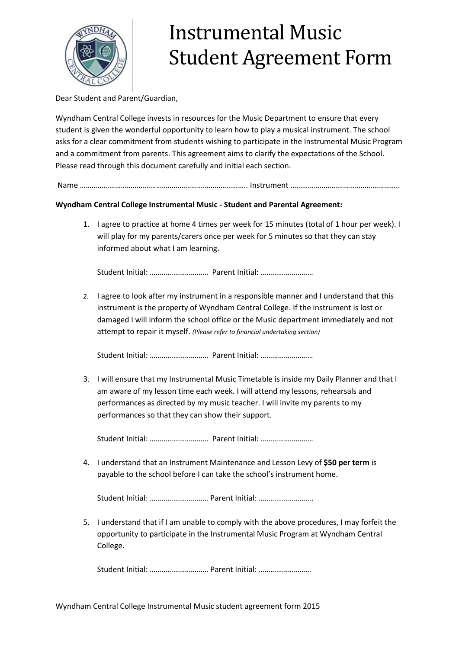

## Instrumental Music Student Agreement Form

Dear Student and Parent/Guardian,

Wyndham Central College invests in resources for the Music Department to ensure that every student is given the wonderful opportunity to learn how to play a musical instrument. The school asks for a clear commitment from students wishing to participate in the Instrumental Music Program and a commitment from parents. This agreement aims to clarify the expectations of the School. Please read through this document carefully and initial each section.

Name ………………………………………………………………………….. Instrument ………………………………………………..

## **Wyndham Central College Instrumental Music - Student and Parental Agreement:**

1. I agree to practice at home 4 times per week for 15 minutes (total of 1 hour per week). I will play for my parents/carers once per week for 5 minutes so that they can stay informed about what I am learning.

Student Initial: ………………………… Parent Initial: ………………………

*2.* I agree to look after my instrument in a responsible manner and I understand that this instrument is the property of Wyndham Central College. If the instrument is lost or damaged I will inform the school office or the Music department immediately and not attempt to repair it myself. *(Please refer to financial undertaking section)*

Student Initial: ………………………… Parent Initial: ………………………

3. I will ensure that my Instrumental Music Timetable is inside my Daily Planner and that I am aware of my lesson time each week. I will attend my lessons, rehearsals and performances as directed by my music teacher. I will invite my parents to my performances so that they can show their support.

Student Initial: ………………………… Parent Initial: ………………………

4. I understand that an Instrument Maintenance and Lesson Levy of **\$50 per term** is payable to the school before I can take the school's instrument home.

Student Initial: ………………………… Parent Initial: ……………………….

5. I understand that if I am unable to comply with the above procedures, I may forfeit the opportunity to participate in the Instrumental Music Program at Wyndham Central College.

Student Initial: ………………………… Parent Initial: ………………………